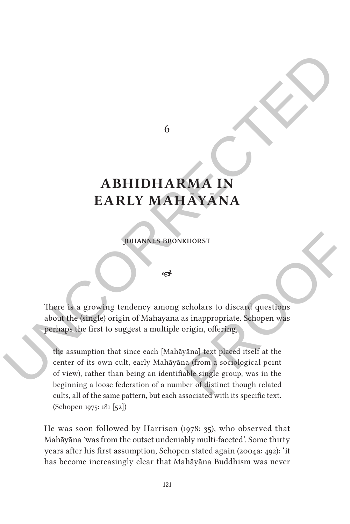6

## **Abhidharma in Early Mahāyāna**

Johannes Bronkhorst

⇔

There is a growing tendency among scholars to discard questions about the (single) origin of Mahāyāna as inappropriate. Schopen was perhaps the first to suggest a multiple origin, offering,

 $\begin{tabular}{c} \bf 6 \\ \bf 6 \\ \bf 1 \\ \bf 2 \\ \bf 2 \\ \bf 3 \\ \bf 4 \\ \bf 5 \\ \bf 6 \\ \bf 7 \\ \bf 8 \\ \bf 9 \\ \bf 1 \\ \bf 1 \\ \bf 2 \\ \bf 1 \\ \bf 2 \\ \bf 1 \\ \bf 2 \\ \bf 1 \\ \bf 2 \\ \bf 3 \\ \bf 4 \\ \bf 5 \\ \bf 6 \\ \bf 7 \\ \bf 8 \\ \bf 9 \\ \bf 1 \\ \bf 1 \\ \bf 2 \\ \bf 1 \\ \bf 2 \\ \bf 1 \\ \bf 2 \\ \bf 1 \\ \bf 2 \\ \bf 2 \\ \bf 3 \\ \bf 1 \\ \bf 2 \\ \bf 1 \\ \bf$ KHORST<br>
scholars to discard questions<br>
as inappropriate. Schopen was<br>
origin, offering,<br>
yāna] text placed itself at the<br>
na (from a sociological point<br>
able single group, was in the<br>
ber of distinct though related<br>
sescei the assumption that since each [Mahāyāna] text placed itself at the center of its own cult, early Mahāyāna (from a sociological point of view), rather than being an identifiable single group, was in the beginning a loose federation of a number of distinct though related cults, all of the same pattern, but each associated with its specific text. (Schopen 1975: 181 [52])

> He was soon followed by Harrison (1978: 35), who observed that Mahāyāna 'was from the outset undeniably multi-faceted'. Some thirty years after his first assumption, Schopen stated again (2004a: 492): 'it has become increasingly clear that Mahāyāna Buddhism was never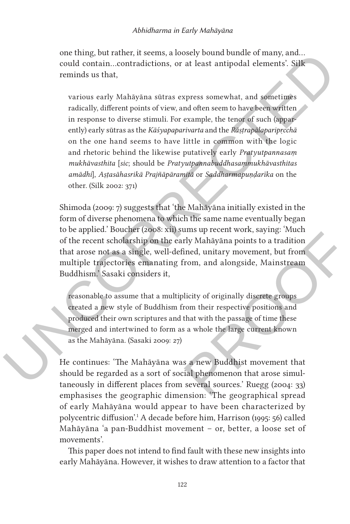one thing, but rather, it seems, a loosely bound bundle of many, and… could contain…contradictions, or at least antipodal elements'. Silk reminds us that,

one thing, but rather, it seems, a loosely bound bundle of many, and<br>could contain...contradictions, or at least antipodal elements'. Silk<br>reminds us that,<br><br>various early Mahayana sittas express somewhat, and sometimes<br>ra various early Mahāyāna sūtras express somewhat, and sometimes radically, different points of view, and often seem to have been written in response to diverse stimuli. For example, the tenor of such (apparently) early sūtras as the *Kāśyapaparivarta* and the *Rāṣṭrapālaparipṛcchā* on the one hand seems to have little in common with the logic and rhetoric behind the likewise putatively early *Pratyutpannasaṃ mukhāvasthita* [*sic*; should be *Pratyutpannabuddhasaṃmukhāvasthitas amādhi*], *Aṣṭasāhasrikā Prajñāpāramitā* or *Saddharmapuṇḍarīka* on the other. (Silk 2002: 371)

Shimoda (2009: 7) suggests that 'the Mahāyāna initially existed in the form of diverse phenomena to which the same name eventually began to be applied.' Boucher (2008: xii) sums up recent work, saying: 'Much of the recent scholarship on the early Mahāyāna points to a tradition that arose not as a single, well-defined, unitary movement, but from multiple trajectories emanating from, and alongside, Mainstream Buddhism.' Sasaki considers it,

The Management work, saying. Much<br>rly Mahāyāna points to a tradition<br>ined, unitary movement, but from<br>irom, and alongside, Mainstream<br>blicity of originally discrete groups<br>from their respective positions and<br>that with the reasonable to assume that a multiplicity of originally discrete groups created a new style of Buddhism from their respective positions and produced their own scriptures and that with the passage of time these merged and intertwined to form as a whole the large current known as the Mahāyāna. (Sasaki 2009: 27)

He continues: 'The Mahāyāna was a new Buddhist movement that should be regarded as a sort of social phenomenon that arose simultaneously in different places from several sources.' Ruegg (2004: 33) emphasises the geographic dimension: 'The geographical spread of early Mahāyāna would appear to have been characterized by polycentric diffusion'.1 A decade before him, Harrison (1995: 56) called Mahāyāna 'a pan-Buddhist movement – or, better, a loose set of movements'.

This paper does not intend to find fault with these new insights into early Mahāyāna. However, it wishes to draw attention to a factor that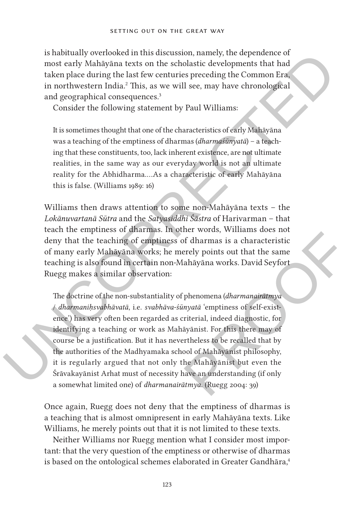is habitually overlooked in this discussion, namely, the dependence of most early Mahāyāna texts on the scholastic developments that had taken place during the last few centuries preceding the Common Era, in northwestern India.<sup>2</sup> This, as we will see, may have chronological and geographical consequences.<sup>3</sup>

Consider the following statement by Paul Williams:

It is sometimes thought that one of the characteristics of early Mahāyāna was a teaching of the emptiness of dharmas (*dharmaśūnyatā*) – a teaching that these constituents, too, lack inherent existence, are not ultimate realities, in the same way as our everyday world is not an ultimate reality for the Abhidharma.…As a characteristic of early Mahāyāna this is false. (Williams 1989: 16)

Williams then draws attention to some non-Mahāyāna texts – the *Lokānuvartanā Sūtra* and the *Satyasiddhi Śāstra* of Harivarman – that teach the emptiness of dharmas. In other words, Williams does not deny that the teaching of emptiness of dharmas is a characteristic of many early Mahāyāna works; he merely points out that the same teaching is also found in certain non-Mahāyāna works. David Seyfort Ruegg makes a similar observation:

Is institute<br>lay vortoked in this descussion, namely, the dependence of most early Mahayana texts on the scholar<br>stic developments that had taken place during the last few centuries preceding the Common Era,<br>in orbitweste Ther words, while the state into the state of dharmas is a characteristic<br>erely points out that the same<br>ahayana works. David Seyfort<br>phenomena (*dharmanairatmya*<br>myatā 'emptiness of self-exist-<br>riterial, indeed diagnostic The doctrine of the non-substantiality of phenomena (*dharmanairātmya* / *dharmaniḥsvabhāvatā*, i.e. *svabhāva-śūnyatā* 'emptiness of self-existence') has very often been regarded as criterial, indeed diagnostic, for identifying a teaching or work as Mahāyānist. For this there may of course be a justification. But it has nevertheless to be recalled that by the authorities of the Madhyamaka school of Mahāyānist philosophy, it is regularly argued that not only the Mahāyānist but even the Śrāvakayānist Arhat must of necessity have an understanding (if only a somewhat limited one) of *dharmanairātmya*. (Ruegg 2004: 39)

> Once again, Ruegg does not deny that the emptiness of dharmas is a teaching that is almost omnipresent in early Mahāyāna texts. Like Williams, he merely points out that it is not limited to these texts.

> Neither Williams nor Ruegg mention what I consider most important: that the very question of the emptiness or otherwise of dharmas is based on the ontological schemes elaborated in Greater Gandhāra,<sup>4</sup>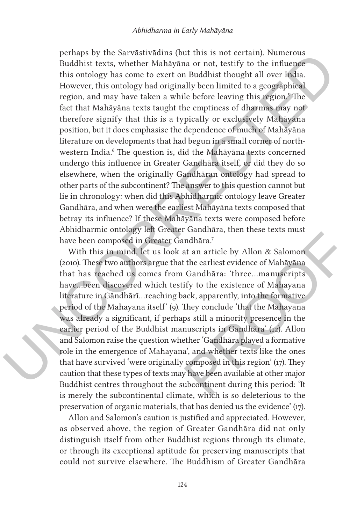periaps by the Sarvätsived<br>institute is not certain). Numerous Buddhist texts, whether Maháryana or not, testify to the influence<br>this ontology has come to exert on Buddhist thought all over fusion<br>Houston, and may have t perhaps by the Sarvāstivādins (but this is not certain). Numerous Buddhist texts, whether Mahāyāna or not, testify to the influence this ontology has come to exert on Buddhist thought all over India. However, this ontology had originally been limited to a geographical region, and may have taken a while before leaving this region.<sup>5</sup> The fact that Mahāyāna texts taught the emptiness of dharmas may not therefore signify that this is a typically or exclusively Mahāyāna position, but it does emphasise the dependence of much of Mahāyāna literature on developments that had begun in a small corner of northwestern India.<sup>6</sup> The question is, did the Mahāyāna texts concerned undergo this influence in Greater Gandhāra itself, or did they do so elsewhere, when the originally Gandhāran ontology had spread to other parts of the subcontinent? The answer to this question cannot but lie in chronology: when did this Abhidharmic ontology leave Greater Gandhāra, and when were the earliest Mahāyāna texts composed that betray its influence? If these Mahāyāna texts were composed before Abhidharmic ontology left Greater Gandhāra, then these texts must have been composed in Greater Gandhāra.7

ndhāra.<sup>7</sup><br>
at an article by Allon & Salomon<br>
t the earliest evidence of Mahāyāna<br>
Gandhāra: 'three...manuscripts<br>
ify to the existence of Mahayana<br>
ack, apparently, into the formative<br>
They conclude 'that the Mahayana<br>
ps With this in mind, let us look at an article by Allon & Salomon (2010). These two authors argue that the earliest evidence of Mahāyāna that has reached us comes from Gandhāra: 'three…manuscripts have…been discovered which testify to the existence of Mahayana literature in Gāndhārī…reaching back, apparently, into the formative period of the Mahayana itself' (9). They conclude 'that the Mahayana was already a significant, if perhaps still a minority presence in the earlier period of the Buddhist manuscripts in Gandhāra' (12). Allon and Salomon raise the question whether 'Gandhāra played a formative role in the emergence of Mahayana', and whether texts like the ones that have survived 'were originally composed in this region' (17). They caution that these types of texts may have been available at other major Buddhist centres throughout the subcontinent during this period: 'It is merely the subcontinental climate, which is so deleterious to the preservation of organic materials, that has denied us the evidence' (17).

Allon and Salomon's caution is justified and appreciated. However, as observed above, the region of Greater Gandhāra did not only distinguish itself from other Buddhist regions through its climate, or through its exceptional aptitude for preserving manuscripts that could not survive elsewhere. The Buddhism of Greater Gandhāra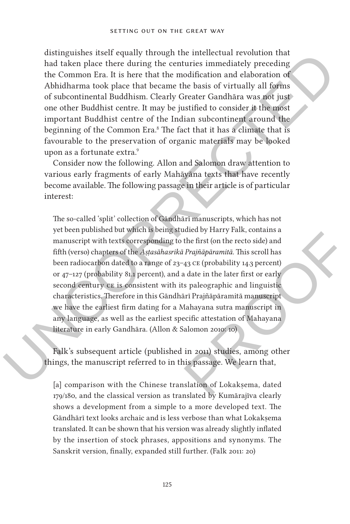distinguishes itself equally through the intellectual revolution that had taken place there during the centuries immediately preceding the Common Era. It is here that the modification and elaboration of Abhidharma took place that became the basis of virtually all forms of subcontinental Buddhism. Clearly Greater Gandhāra was not just one other Buddhist centre. It may be justified to consider it the most important Buddhist centre of the Indian subcontinent around the beginning of the Common Era.<sup>8</sup> The fact that it has a climate that is favourable to the preservation of organic materials may be looked upon as a fortunate extra.<sup>9</sup>

Consider now the following. Allon and Salomon draw attention to various early fragments of early Mahāyāna texts that have recently become available. The following passage in their article is of particular interest:

distinguishes itsell equality through the intellectual revolution that<br>the change in the procedure change the centuries immediately preceding<br>the Common Eva. It is here that the modification and claboration of<br>Mindhama to dued by Harry Park, contains a<br>the first (on the recto side) and<br>a Prajñāpāramitā. This scroll has<br>a 3 CE (probability 14.3 percent)<br>a date in the later first or early<br>s paleographic and linguistic<br>ari Prajñāpāramitā manus The so-called 'split' collection of Gāndhārī manuscripts, which has not yet been published but which is being studied by Harry Falk, contains a manuscript with texts corresponding to the first (on the recto side) and fifth (verso) chapters of the *Aṣṭasāhasrikā Prajñāpāramitā*. This scroll has been radiocarbon dated to a range of 23–43 ce (probability 14.3 percent) or 47–127 (probability 81.1 percent), and a date in the later first or early second century  $c\epsilon$  is consistent with its paleographic and linguistic characteristics. Therefore in this Gāndhārī Prajñāpāramitā manuscript we have the earliest firm dating for a Mahayana sutra manuscript in any language, as well as the earliest specific attestation of Mahayana literature in early Gandhāra. (Allon & Salomon 2010: 10)

Falk's subsequent article (published in 2011) studies, among other things, the manuscript referred to in this passage. We learn that,

[a] comparison with the Chinese translation of Lokakṣema, dated 179/180, and the classical version as translated by Kumārajīva clearly shows a development from a simple to a more developed text. The Gāndhārī text looks archaic and is less verbose than what Lokaksema translated. It can be shown that his version was already slightly inflated by the insertion of stock phrases, appositions and synonyms. The Sanskrit version, finally, expanded still further. (Falk 2011: 20)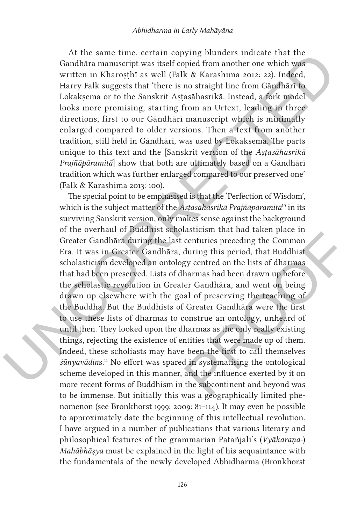At the same time, certain copying blunders indicate that the Gandhāra manuscript was itself copied from another one which was written in Kharosthī as well (Falk & Karashima 2012: 22). Indeed, Harry Falk suggests that 'there is no straight line from Gāndhārī to Lokaksema or to the Sanskrit Astasāhasrikā. Instead, a fork model looks more promising, starting from an Urtext, leading in three directions, first to our Gāndhārī manuscript which is minimally enlarged compared to older versions. Then a text from another tradition, still held in Gāndhārī, was used by Lokaksema. The parts unique to this text and the [Sanskrit version of the *Aṣṭasāhasrikā Prajñāpāramitā*] show that both are ultimately based on a Gāndhārī tradition which was further enlarged compared to our preserved one' (Falk & Karashima 2013: 100).

At the same time, certain copyring bunders indeted that the same time, and<br>thara manuscript was itself copied from another one which was written in Kharosthi as well (f/alk & Karashima zora: 22). Indeed, Hary Falk angests results and taken place in<br>
centuries preceding the Common<br>
during this period, that Buddhist<br>
gy centred on the lists of dharmas<br>
harmas had been drawn up before<br>
ter Gandhāra, and went on being<br>
al of preserving the teac The special point to be emphasised is that the 'Perfection of Wisdom', which is the subject matter of the *Aṣṭasāhasrikā Prajñāpāramitā*10 in its surviving Sanskrit version, only makes sense against the background of the overhaul of Buddhist scholasticism that had taken place in Greater Gandhāra during the last centuries preceding the Common Era. It was in Greater Gandhāra, during this period, that Buddhist scholasticism developed an ontology centred on the lists of dharmas that had been preserved. Lists of dharmas had been drawn up before the scholastic revolution in Greater Gandhāra, and went on being drawn up elsewhere with the goal of preserving the teaching of the Buddha. But the Buddhists of Greater Gandhāra were the first to use these lists of dharmas to construe an ontology, unheard of until then. They looked upon the dharmas as the only really existing things, rejecting the existence of entities that were made up of them. Indeed, these scholiasts may have been the first to call themselves *śūnyavādin*s.11 No effort was spared in systematising the ontological scheme developed in this manner, and the influence exerted by it on more recent forms of Buddhism in the subcontinent and beyond was to be immense. But initially this was a geographically limited phenomenon (see Bronkhorst 1999; 2009: 81–114). It may even be possible to approximately date the beginning of this intellectual revolution. I have argued in a number of publications that various literary and philosophical features of the grammarian Patañjali's (*Vyākaraṇa-*) *Mahābhāṣya* must be explained in the light of his acquaintance with the fundamentals of the newly developed Abhidharma (Bronkhorst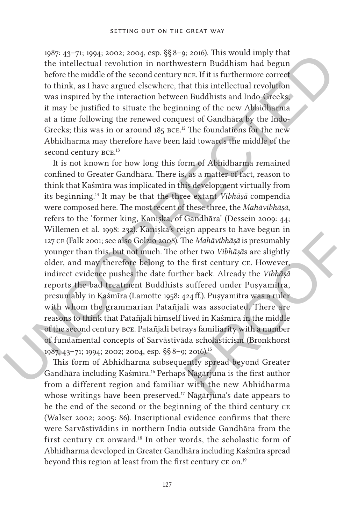1987: 43–71; 1994; 2002; 2004, esp. §§ 8–9; 2016). This would imply that the intellectual revolution in northwestern Buddhism had begun before the middle of the second century bce. If it is furthermore correct to think, as I have argued elsewhere, that this intellectual revolution was inspired by the interaction between Buddhists and Indo-Greeks, it may be justified to situate the beginning of the new Abhidharma at a time following the renewed conquest of Gandhāra by the Indo-Greeks; this was in or around  $185$  BCE.<sup>12</sup> The foundations for the new Abhidharma may therefore have been laid towards the middle of the second century BCE.<sup>13</sup>

1987: 437-711.1994; 2002: 2004; esp. 88<sup>8</sup>-19. 2006). This would imply that the intellectual revolution in northwestern Buddhism had begun before the middle of the scond century ncc. If it is furthermore correct to this, right appears to nave begun in<br>The *Mahāvibhāṣā* is presumably<br>ther two *Vibhāṣā*s are slightly<br>ne first century CE. However,<br>her back. Already the *Vibhāṣā*<br>suffered under Puṣyamitra,<br>424 ff.). Puṣyamitra was a ruler<br>li w It is not known for how long this form of Abhidharma remained confined to Greater Gandhāra. There is, as a matter of fact, reason to think that Kaśmīra was implicated in this development virtually from its beginning.14 It may be that the three extant *Vibhāṣā* compendia were composed here. The most recent of these three, the *Mahāvibhāṣā*, refers to the 'former king, Kaniṣka, of Gandhāra' (Dessein 2009: 44; Willemen et al. 1998: 232). Kaniska's reign appears to have begun in 127 ce (Falk 2001; see also Golzio 2008). The *Mahāvibhāṣā* is presumably younger than this, but not much. The other two *Vibhāṣā*s are slightly older, and may therefore belong to the first century ce. However, indirect evidence pushes the date further back. Already the *Vibhāṣā* reports the bad treatment Buddhists suffered under Puṣyamitra, presumably in Kaśmīra (Lamotte 1958: 424 ff.). Puṣyamitra was a ruler with whom the grammarian Patañjali was associated. There are reasons to think that Patañjali himself lived in Kaśmīra in the middle of the second century bce. Patañjali betrays familiarity with a number of fundamental concepts of Sarvāstivāda scholasticism (Bronkhorst 1987, 43–71; 1994; 2002; 2004, esp. §§ 8–9; 2016).15

This form of Abhidharma subsequently spread beyond Greater Gandhāra including Kaśmīra.16 Perhaps Nāgārjuna is the first author from a different region and familiar with the new Abhidharma whose writings have been preserved.<sup>17</sup> Nāgārjuna's date appears to be the end of the second or the beginning of the third century ce (Walser 2002; 2005: 86). Inscriptional evidence confirms that there were Sarvāstivādins in northern India outside Gandhāra from the first century ce onward.18 In other words, the scholastic form of Abhidharma developed in Greater Gandhāra including Kaśmīra spread beyond this region at least from the first century CE on.<sup>19</sup>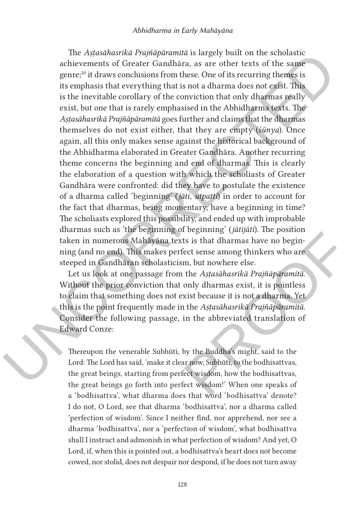The Asytsakusrske Praying<br>armin is the periode to the schecker charge of the schecker<br>ments of Greater Gandhian, as are other texts of the same<br>genre;" it draws conclusions from these. One of its recurring themes is<br>its e The *Aṣṭasāhasrikā Prajñāpāramitā* is largely built on the scholastic achievements of Greater Gandhāra, as are other texts of the same genre;20 it draws conclusions from these. One of its recurring themes is its emphasis that everything that is not a dharma does not exist. This is the inevitable corollary of the conviction that only dharmas really exist, but one that is rarely emphasised in the Abhidharma texts. The *Aṣṭasāhasrikā Prajñāpāramitā* goes further and claims that the dharmas themselves do not exist either, that they are empty (*śūnya*). Once again, all this only makes sense against the historical background of the Abhidharma elaborated in Greater Gandhāra. Another recurring theme concerns the beginning and end of dharmas. This is clearly the elaboration of a question with which the scholiasts of Greater Gandhāra were confronted: did they have to postulate the existence of a dharma called 'beginning' (*jāti*, *utpatti*) in order to account for the fact that dharmas, being momentary, have a beginning in time? The scholiasts explored this possibility, and ended up with improbable dharmas such as 'the beginning of beginning' (*jātijāti*). The position taken in numerous Mahāyāna texts is that dharmas have no beginning (and no end). This makes perfect sense among thinkers who are steeped in Gandhāran scholasticism, but nowhere else.

The position<br>of the signal share is that dharmas have no begin-<br>ect sense among thinkers who are<br>m, but nowhere else.<br>the *Astasāhasrikā Prajñāpāramitā*.<br>only dharmas exist, it is pointless<br>xist because it is not a dharma. Let us look at one passage from the *Aṣṭasāhasrikā Prajñāpāramitā*. Without the prior conviction that only dharmas exist, it is pointless to claim that something does not exist because it is not a dharma. Yet this is the point frequently made in the *Aṣṭasāhasrikā Prajñāpāramitā*. Consider the following passage, in the abbreviated translation of Edward Conze:

Thereupon the venerable Subhūti, by the Buddha's might, said to the Lord: The Lord has said, 'make it clear now, Subhūti, to the bodhisattvas, the great beings, starting from perfect wisdom, how the bodhisattvas, the great beings go forth into perfect wisdom!' When one speaks of a 'bodhisattva', what dharma does that word 'bodhisattva' denote? I do not, O Lord, see that dharma 'bodhisattva', nor a dharma called 'perfection of wisdom'. Since I neither find, nor apprehend, nor see a dharma 'bodhisattva', nor a 'perfection of wisdom', what bodhisattva shall I instruct and admonish in what perfection of wisdom? And yet, O Lord, if, when this is pointed out, a bodhisattva's heart does not become cowed, nor stolid, does not despair nor despond, if he does not turn away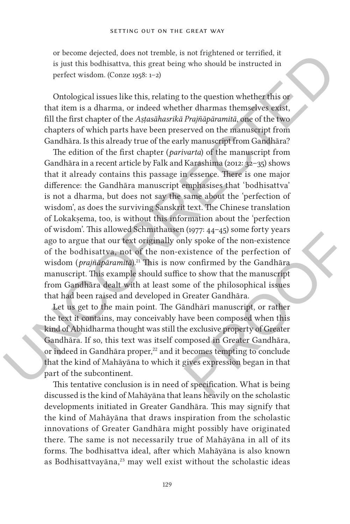or become dejected, does not tremble, is not frightened or terrified, it is just this bodhisattva, this great being who should be instructed in perfect wisdom. (Conze 1958: 1–2)

Ontological issues like this, relating to the question whether this or that item is a dharma, or indeed whether dharmas themselves exist, fill the first chapter of the *Aṣṭasāhasrikā Prajñāpāramitā*, one of the two chapters of which parts have been preserved on the manuscript from Gandhāra. Is this already true of the early manuscript from Gandhāra?

or become dejected, does not tremble, is not trightened or territied, it is just this bothisattva, this great being who should be instructed in perfect wisdom. (Onze 1958: 1–2)<br>
Ontological issues like this, relating to t The edition of the first chapter (*parivarta*) of the manuscript from Gandhāra in a recent article by Falk and Karashima (2012: 32–35) shows that it already contains this passage in essence. There is one major difference: the Gandhāra manuscript emphasises that 'bodhisattva' is not a dharma, but does not say the same about the 'perfection of wisdom', as does the surviving Sanskrit text. The Chinese translation of Lokakṣema, too, is without this information about the 'perfection of wisdom'. This allowed Schmithausen (1977: 44–45) some forty years ago to argue that our text originally only spoke of the non-existence of the bodhisattva, not of the non-existence of the perfection of wisdom (*prajñāpāramitā*).<sup>21</sup> This is now confirmed by the Gandhāra manuscript. This example should suffice to show that the manuscript from Gandhāra dealt with at least some of the philosophical issues that had been raised and developed in Greater Gandhāra.

(1977-44-45) some rory years<br>aly spoke of the non-existence<br>xistence of the perfection of<br>v confirmed by the Gandhāra<br>e to show that the manuscript<br>me of the philosophical issues<br>Greater Gandhāra.<br>andhārī manuscript, or ra Let us get to the main point. The Gāndhārī manuscript, or rather the text it contains, may conceivably have been composed when this kind of Abhidharma thought was still the exclusive property of Greater Gandhāra. If so, this text was itself composed in Greater Gandhāra, or indeed in Gandhāra proper,<sup>22</sup> and it becomes tempting to conclude that the kind of Mahāyāna to which it gives expression began in that part of the subcontinent.

This tentative conclusion is in need of specification. What is being discussed is the kind of Mahāyāna that leans heavily on the scholastic developments initiated in Greater Gandhāra. This may signify that the kind of Mahāyāna that draws inspiration from the scholastic innovations of Greater Gandhāra might possibly have originated there. The same is not necessarily true of Mahāyāna in all of its forms. The bodhisattva ideal, after which Mahāyāna is also known as Bodhisattvayāna,<sup>23</sup> may well exist without the scholastic ideas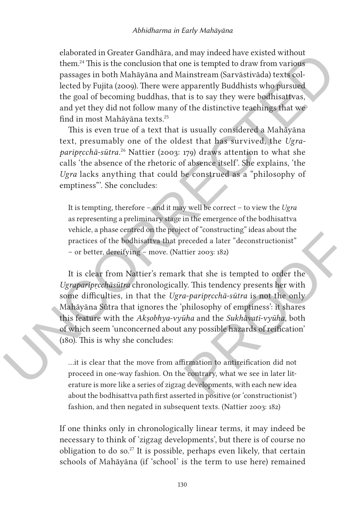elaborated in Greater Gandhāra, and may indeed have existed without them.24 This is the conclusion that one is tempted to draw from various passages in both Mahāyāna and Mainstream (Sarvāstivāda) texts collected by Fujita (2009). There were apparently Buddhists who pursued the goal of becoming buddhas, that is to say they were bodhisattvas, and yet they did not follow many of the distinctive teachings that we find in most Mahāyāna texts.25

This is even true of a text that is usually considered a Mahāyāna text, presumably one of the oldest that has survived, the *Ugraparipṛcchā-sūtra*. 26 Nattier (2003: 179) draws attention to what she calls 'the absence of the rhetoric of absence itself'. She explains, 'the *Ugra* lacks anything that could be construed as a "philosophy of emptiness"'. She concludes:

It is tempting, therefore – and it may well be correct – to view the *Ugra* as representing a preliminary stage in the emergence of the bodhisattva vehicle, a phase centred on the project of "constructing" ideas about the practices of the bodhisattva that preceded a later "deconstructionist" – or better, dereifying – move. (Nattier 2003: 182)

elaborated un Greater Gandhara, and may meled those existed without them.<sup>21</sup> This is the conclusion that on a is tempted to draw from various<br>passages in both Mahayana and Mainstream (Sarvatsivada) texts collected by Fuj ect of constructing lueas about the<br>receded a later "deconstructionist"<br>titier 2003: 182)<br>x that she is tempted to order the<br>ly. This tendency presents her with<br>a-*pariprcchā-sūtra* is not the only<br>philosophy of emptiness' It is clear from Nattier's remark that she is tempted to order the *Ugraparipṛcchāsūtra* chronologically. This tendency presents her with some difficulties, in that the *Ugra-paripṛcchā-sūtra* is not the only Mahāyāna Sūtra that ignores the 'philosophy of emptiness': it shares this feature with the *Akṣobhya-vyūha* and the *Sukhāvatī-vyūha*, both of which seem 'unconcerned about any possible hazards of reification' (180). This is why she concludes:

…it is clear that the move from affirmation to antireification did not proceed in one-way fashion. On the contrary, what we see in later literature is more like a series of zigzag developments, with each new idea about the bodhisattva path first asserted in positive (or 'constructionist') fashion, and then negated in subsequent texts. (Nattier 2003: 182)

If one thinks only in chronologically linear terms, it may indeed be necessary to think of 'zigzag developments', but there is of course no obligation to do so.27 It is possible, perhaps even likely, that certain schools of Mahāyāna (if 'school' is the term to use here) remained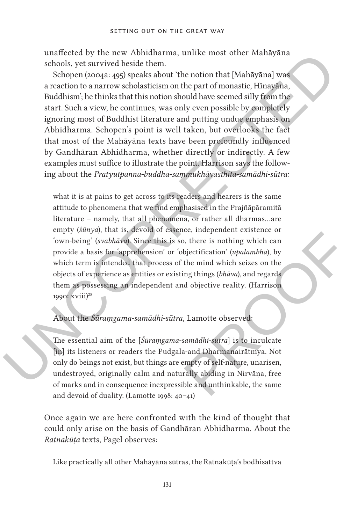unaffected by the new Abhidharma, unlike most other Mahāyāna schools, yet survived beside them.

unaltected by the new Abhudharma, unlike most other Mahāyāna schools, yet survived beside them.<br>
Schools, yet survived beside them.<br>
Schools, yet survived beside them.<br>
areaction to an arrow schools areas areation (noonga Schopen (2004a: 495) speaks about 'the notion that [Mahāyāna] was a reaction to a narrow scholasticism on the part of monastic, Hīnayāna, Buddhism'; he thinks that this notion should have seemed silly from the start. Such a view, he continues, was only even possible by completely ignoring most of Buddhist literature and putting undue emphasis on Abhidharma. Schopen's point is well taken, but overlooks the fact that most of the Mahāyāna texts have been profoundly influenced by Gandhāran Abhidharma, whether directly or indirectly. A few examples must suffice to illustrate the point. Harrison says the following about the *Pratyutpanna-buddha-saṃmukhāvasthita-samādhi-sūtra*:

(e, independent existence of<br>
b, there is nothing which can<br>
bjectification' (*upalambha*), by<br>
the mind which seizes on the<br>
ing things (*bhāva*), and regards<br>
d objective reality. (Harrison<br>
samādhi-sūtra] is to inculcat what it is at pains to get across to its readers and hearers is the same attitude to phenomena that we find emphasised in the Prajñāpāramitā literature – namely, that all phenomena, or rather all dharmas…are empty (*śūnya*), that is, devoid of essence, independent existence or 'own-being' (*svabhāva*). Since this is so, there is nothing which can provide a basis for 'apprehension' or 'objectification' (*upalambha*), by which term is intended that process of the mind which seizes on the objects of experience as entities or existing things (*bhāva*), and regards them as possessing an independent and objective reality. (Harrison 1990: xviii)<sup>28</sup>

## About the *Śūraṃgama-samādhi-sūtra*, Lamotte observed:

The essential aim of the [*Śūraṃgama-samādhi-sūtra*] is to inculcate [in] its listeners or readers the Pudgala-and Dharmanairātmya. Not only do beings not exist, but things are empty of self-nature, unarisen, undestroyed, originally calm and naturally abiding in Nirvāṇa, free of marks and in consequence inexpressible and unthinkable, the same and devoid of duality. (Lamotte 1998: 40–41)

Once again we are here confronted with the kind of thought that could only arise on the basis of Gandhāran Abhidharma. About the *Ratnakūṭa* texts, Pagel observes:

Like practically all other Mahāyāna sūtras, the Ratnakūta's bodhisattva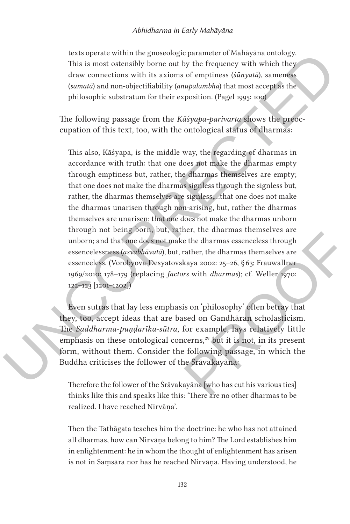texts operate within the gnoseologic parameter of Mahāyāna ontology. This is most ostensibly borne out by the frequency with which they draw connections with its axioms of emptiness (*śūnyatā*), sameness (*samatā*) and non-objectifiability (*anupalambha*) that most accept as the philosophic substratum for their exposition. (Pagel 1995: 100)

The following passage from the *Kāśyapa-parivarta* shows the preoccupation of this text, too, with the ontological status of dharmas:

texts operate within the gnooselogic parameter of Mahayana ontology.<br>This is most ostensishy home out by the frequency with which they<br>forw connections with its axioms of emptiness (*sim/mab*), samences<br>forward) and non-o This also, Kāśyapa, is the middle way, the regarding of dharmas in accordance with truth: that one does not make the dharmas empty through emptiness but, rather, the dharmas themselves are empty; that one does not make the dharmas signless through the signless but, rather, the dharmas themselves are signless;…that one does not make the dharmas unarisen through non-arising, but, rather the dharmas themselves are unarisen; that one does not make the dharmas unborn through not being born, but, rather, the dharmas themselves are unborn; and that one does not make the dharmas essenceless through essencelessness (*asvabhāvatā*), but, rather, the dharmas themselves are essenceless. (Vorobyova-Desyatovskaya 2002: 25–26, § 63; Frauwallner 1969/2010: 178–179 (replacing *factors* with *dharmas*); cf. Weller 1970: 122–123 [1201–1202])

et, the dharmas themselves are<br>
e the dharmas essenceless through<br>
rather, the dharmas themselves are<br>
kaya 2002: 25–26, §63; Frauwallner<br>
rs with *dharmas*); cf. Weller 1970:<br>
is on 'philosophy' often betray that<br>
sed on Even sutras that lay less emphasis on 'philosophy' often betray that they, too, accept ideas that are based on Gandhāran scholasticism. The *Saddharma-puṇḍarīka-sūtra*, for example, lays relatively little emphasis on these ontological concerns, $29$  but it is not, in its present form, without them. Consider the following passage, in which the Buddha criticises the follower of the Śrāvakayāna:

Therefore the follower of the Śrāvakayāna [who has cut his various ties] thinks like this and speaks like this: 'There are no other dharmas to be realized. I have reached Nirvāṇa'.

Then the Tathāgata teaches him the doctrine: he who has not attained all dharmas, how can Nirvāṇa belong to him? The Lord establishes him in enlightenment: he in whom the thought of enlightenment has arisen is not in Saṃsāra nor has he reached Nirvāṇa. Having understood, he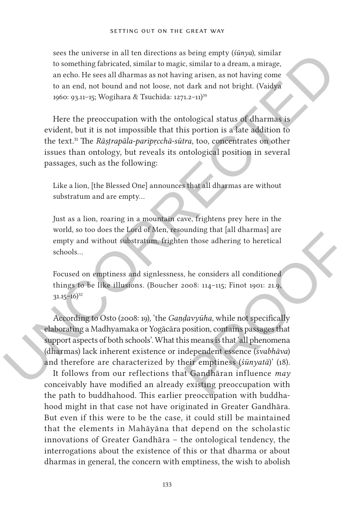sees the universe in all ten directions as being empty (*śūnya*), similar to something fabricated, similar to magic, similar to a dream, a mirage, an echo. He sees all dharmas as not having arisen, as not having come to an end, not bound and not loose, not dark and not bright. (Vaidya 1960: 93.11–15; Wogihara & Tsuchida: 1271.2–11)30

sees the universe in all ten directions as being entry (singula), similar<br>to something finite and the nonethed similar to magic, similar to a dream, a mirarge,<br>an echo. He sees all dharmas as not having artisen, as not ha Here the preoccupation with the ontological status of dharmas is evident, but it is not impossible that this portion is a late addition to the text.31 The *Rāṣṭrapāla-paripṛcchā-sūtra*, too, concentrates on other issues than ontology, but reveals its ontological position in several passages, such as the following:

Like a lion, [the Blessed One] announces that all dharmas are without substratum and are empty…

Just as a lion, roaring in a mountain cave, frightens prey here in the world, so too does the Lord of Men, resounding that [all dharmas] are empty and without substratum, frighten those adhering to heretical schools…

Focused on emptiness and signlessness, he considers all conditioned things to be like illusions. (Boucher 2008: 114–115; Finot 1901: 21.9,  $31.15 - 16$ <sup>32</sup>

ouning that [all diamaximals] are<br>
in those adhering to heretical<br>
2008: 114–115; Finot 1901: 21.9,<br> *davyūha*, while not specifically<br>
position, contains passages that<br>
is means is that 'all phenomena<br>
independent essence According to Osto (2008: 19), 'the *Gaṇḍavyūha*, while not specifically elaborating a Madhyamaka or Yogācāra position, contains passages that support aspects of both schools'. What this means is that 'all phenomena (dharmas) lack inherent existence or independent essence (*svabhāva*) and therefore are characterized by their emptiness (*śūnyatā*)' (18).

It follows from our reflections that Gandhāran influence *may* conceivably have modified an already existing preoccupation with the path to buddhahood. This earlier preoccupation with buddhahood might in that case not have originated in Greater Gandhāra. But even if this were to be the case, it could still be maintained that the elements in Mahāyāna that depend on the scholastic innovations of Greater Gandhāra – the ontological tendency, the interrogations about the existence of this or that dharma or about dharmas in general, the concern with emptiness, the wish to abolish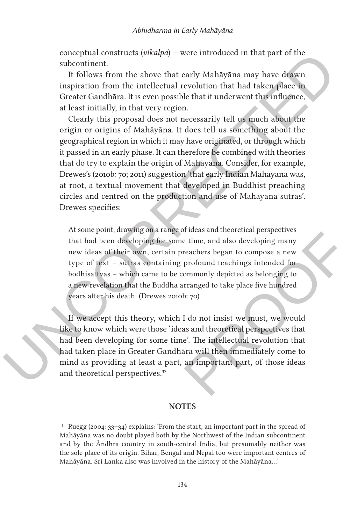conceptual constructs (*vikalpa*) – were introduced in that part of the subcontinent.

It follows from the above that early Mahāyāna may have drawn inspiration from the intellectual revolution that had taken place in Greater Gandhāra. It is even possible that it underwent this influence, at least initially, in that very region.

conceptual constructs (*vikalpa*) – were introduced in that part of the subcontinent.<br>
It follows from the above that early Mahayana may have drawn in the subcontinent.<br>
It follows from the intellectual revolution that ha Clearly this proposal does not necessarily tell us much about the origin or origins of Mahāyāna. It does tell us something about the geographical region in which it may have originated, or through which it passed in an early phase. It can therefore be combined with theories that do try to explain the origin of Mahāyāna. Consider, for example, Drewes's (2010b: 70; 2011) suggestion 'that early Indian Mahāyāna was, at root, a textual movement that developed in Buddhist preaching circles and centred on the production and use of Mahāyāna sūtras'. Drewes specifies:

of luess and theoretical perspectives<br>
e time, and also developing many<br>
reachers began to compose a new<br>
profound teachings intended for<br>
ommonly depicted as belonging to<br>
rranged to take place five hundred<br>
b: 70)<br>
I do At some point, drawing on a range of ideas and theoretical perspectives that had been developing for some time, and also developing many new ideas of their own, certain preachers began to compose a new type of text – sūtras containing profound teachings intended for bodhisattvas – which came to be commonly depicted as belonging to a new revelation that the Buddha arranged to take place five hundred years after his death. (Drewes 2010b: 70)

If we accept this theory, which I do not insist we must, we would like to know which were those 'ideas and theoretical perspectives that had been developing for some time'. The intellectual revolution that had taken place in Greater Gandhāra will then immediately come to mind as providing at least a part, an important part, of those ideas and theoretical perspectives.<sup>33</sup>

## **Notes**

<sup>1</sup> Ruegg (2004:  $33-34$ ) explains: 'From the start, an important part in the spread of Mahāyāna was no doubt played both by the Northwest of the Indian subcontinent and by the Āndhra country in south-central India, but presumably neither was the sole place of its origin. Bihar, Bengal and Nepal too were important centres of Mahāyāna. Sri Lanka also was involved in the history of the Mahāyāna…'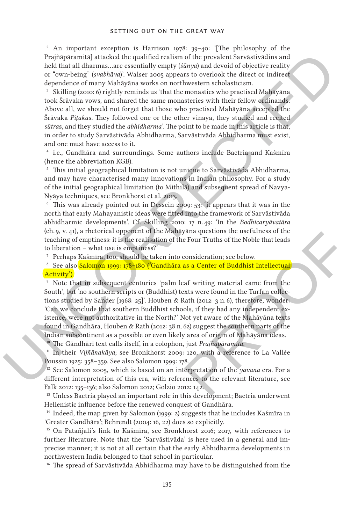<sup>2</sup> An important exception is Harrison 1978: 39-40: '[The philosophy of the Prajñāpāramitā] attacked the qualified realism of the prevalent Sarvāstivādins and held that all dharmas…are essentially empty (*śūnya*) and devoid of objective reality or "own-being" (*svabhāva*)'. Walser 2005 appears to overlook the direct or indirect dependence of many Mahāyāna works on northwestern scholasticism.

<sup>3</sup> Skilling (2010: 6) rightly reminds us 'that the monastics who practised Mahāyāna took Śrāvaka vows, and shared the same monasteries with their fellow ordinands. Above all, we should not forget that those who practised Mahāyāna accepted the Śrāvaka *Piṭaka*s. They followed one or the other vinaya, they studied and recited *sūtra*s, and they studied the *abhidharma*'. The point to be made in this article is that, in order to study Sarvāstivāda Abhidharma, Sarvāstivāda Abhidharma must exist, and one must have access to it.

<sup>4</sup> i.e., Gandhāra and surroundings. Some authors include Bactria and Kaśmīra (hence the abbreviation KGB).

<sup>5</sup> This initial geographical limitation is not unique to Sarvāstivāda Abhidharma, and may have characterised many innovations in Indian philosophy. For a study of the initial geographical limitation (to Mithilā) and subsequent spread of Navya-Nyāya techniques, see Bronkhorst et al. 2013.

<sup>6</sup> This was already pointed out in Dessein 2009: 53: 'it appears that it was in the north that early Mahayanistic ideas were fitted into the framework of Sarvāstivāda abhidharmic developments'. Cf. Skilling 2010: 17 n. 49: 'In the *Bodhicaryāvatāra* (ch. 9, v. 41), a rhetorical opponent of the Mahāyāna questions the usefulness of the teaching of emptiness: it is the realisation of the Four Truths of the Noble that leads to liberation – what use is emptiness?'

<sup>7</sup> Perhaps Kaśmīra, too, should be taken into consideration; see below.

<sup>8</sup> See also Salomon 1999: 178-180 ('Gandhāra as a Center of Buddhist Intellectual Activity').

Praying fracturally attacked the qualified realition of the precelent Savadavialities and Order the precelent scaling conditions are assembly empty (singula and devoid of coluctive reality or own-being from<br>the dependence yana questions the useruiness of the<br>
e Four Truths of the Noble that leads<br>
consideration; see below.<br>
as a Center of Buddhist Intellectual<br>
eaf writing material came from the<br>
exts were found in the Turfan collec-<br>
Rath Note that in subsequent centuries 'palm leaf writing material came from the South', but 'no southern scripts or (Buddhist) texts were found in the Turfan collections studied by Sander [1968: 25]'. Houben & Rath (2012: 3 n. 6), therefore, wonder: 'Can we conclude that southern Buddhist schools, if they had any independent existence, were not authoritative in the North?' Not yet aware of the Mahāyāna texts found in Gandhāra, Houben & Rath (2012: 38 n. 62) suggest the southern parts of the Indian subcontinent as a possible or even likely area of origin of Mahāyāna ideas.

<sup>10</sup> The Gāndhārī text calls itself, in a colophon, just *Prajñāpāramitā*.

<sup>11</sup> In their *Vijñānakāya*; see Bronkhorst 2009: 120, with a reference to La Vallée Poussin 1925: 358–359. See also Salomon 1999: 178.

<sup>12</sup> See Salomon 2005, which is based on an interpretation of the *yavana* era. For a different interpretation of this era, with references to the relevant literature, see Falk 2012: 135–136; also Salomon 2012; Golzio 2012: 142.

<sup>13</sup> Unless Bactria played an important role in this development; Bactria underwent Hellenistic influence before the renewed conquest of Gandhāra.

<sup>14</sup> Indeed, the map given by Salomon (1999: 2) suggests that he includes Kaśmīra in 'Greater Gandhāra'; Behrendt (2004: 16, 22) does so explicitly.

<sup>15</sup> On Patañjali's link to Kaśmīra, see Bronkhorst 2016; 2017, with references to further literature. Note that the 'Sarvāstivāda' is here used in a general and imprecise manner; it is not at all certain that the early Abhidharma developments in northwestern India belonged to that school in particular.

<sup>16</sup> The spread of Sarvāstivāda Abhidharma may have to be distinguished from the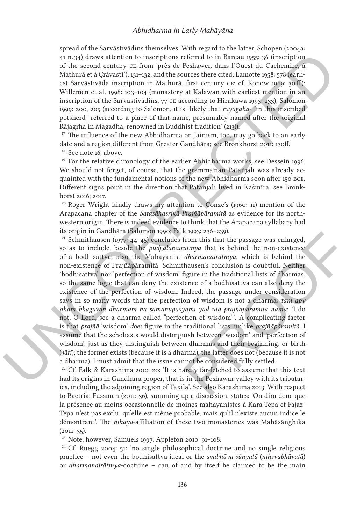spread of the Sarvāstivādins themselves. With regard to the latter, Schopen (2004a: 41 n. 34) draws attention to inscriptions referred to in Bareau 1955: 36 (inscription of the second century ce from 'près de Peshawer, dans l'Ouest du Cachemire, à Mathurâ et à Çrâvastî'), 131–132, and the sources there cited; Lamotte 1958: 578 (earliest Sarvāstivāda inscription in Mathurā, first century ce; cf. Konow 1969: 30 ff.); Willemen et al. 1998: 103–104 (monastery at Kalawān with earliest mention in an inscription of the Sarvāstivādins, 77 ce according to Hirakawa 1993: 233); Salomon 1999: 200, 205 (according to Salomon, it is 'likely that *rayagaha*- [in this inscribed potsherd] referred to a place of that name, presumably named after the original Rājagṛha in Magadha, renowned in Buddhist tradition' (213)).

 $17$  The influence of the new Abhidharma on Jainism, too, may go back to an early date and a region different from Greater Gandhāra; see Bronkhorst 2011: 130ff. <sup>18</sup> See note 16, above.

<sup>19</sup> For the relative chronology of the earlier Abhidharma works, see Dessein 1996. We should not forget, of course, that the grammarian Patañjali was already acquainted with the fundamental notions of the new Abhidharma soon after 150 bce. Different signs point in the direction that Patañjali lived in Kaśmīra; see Bronkhorst 2016; 2017.

<sup>20</sup> Roger Wright kindly draws my attention to Conze's (1960: 11) mention of the Arapacana chapter of the *Śatasāhasrikā Prajñāpāramitā* as evidence for its northwestern origin. There is indeed evidence to think that the Arapacana syllabary had its origin in Gandhāra (Salomon 1990; Falk 1993: 236–239).

 $\alpha$ , say) davos attention to insert<br>juris at Berlauce of non-Report for the second century ex from pies de Pedaweer, dans l'Ouest du Gachemije<br>fra de di the second century external pies de Pedaweer, dans l'Ouest du Gache K 1993: 236–239).<br>
from this that the passage was enlarged,<br>  $\bar{a}$ *tmya* that is behind the non-existence<br>  $d$ *harmanairātmya*, which is behind the<br>
thausen's conclusion is doubtful. Neither<br>
figure in the traditional l <sup>21</sup> Schmithausen (1977:  $44-45$ ) concludes from this that the passage was enlarged, so as to include, beside the *pudgalanairātmya* that is behind the non-existence of a bodhisattva, also the Mahayanist *dharmanairātmya*, which is behind the non-existence of Prajñāpāramitā. Schmithausen's conclusion is doubtful. Neither 'bodhisattva' nor 'perfection of wisdom' figure in the traditional lists of dharmas, so the same logic that can deny the existence of a bodhisattva can also deny the existence of the perfection of wisdom. Indeed, the passage under consideration says in so many words that the perfection of wisdom is not a dharma: *tam apy ahaṃ bhagavan dharmaṃ na samanupaśyāmi yad uta prajñāpāramitā nāma*; 'I do not, O Lord, see a dharma called "perfection of wisdom"'. A complicating factor is that *prajñā* 'wisdom' *does* figure in the traditional lists, unlike *prajñāpāramitā*. I assume that the scholiasts would distinguish between 'wisdom' and 'perfection of wisdom', just as they distinguish between dharmas and their beginning, or birth (*jāti*); the former exists (because it is a dharma), the latter does not (because it is not a dharma). I must admit that the issue cannot be considered fully settled.

 $22$  Cf. Falk & Karashima 2012: 20: 'It is hardly far-fetched to assume that this text had its origins in Gandhāra proper, that is in the Peshawar valley with its tributaries, including the adjoining region of Taxila'. See also Karashima 2013. With respect to Bactria, Fussman (2011: 36), summing up a discussion, states: 'On dira donc que la présence au moins occasionnelle de moines mahayanistes à Kara-Tepa et Fajaz-Tepa n'est pas exclu, qu'elle est même probable, mais qu'il n'existe aucun indice le démontrant'. The *nikāya*-affiliation of these two monasteries was Mahāsāṅghika (2011: 35).

<sup>23</sup> Note, however, Samuels 1997; Appleton 2010: 91–108.

 $24$  Cf. Ruegg 2004: 51: 'no single philosophical doctrine and no single religious practice – not even the bodhisattva-ideal or the *svabhāva-śūnyatā*-(*niḥsvabhāvatā*) or *dharmanairātmya*-doctrine – can of and by itself be claimed to be the main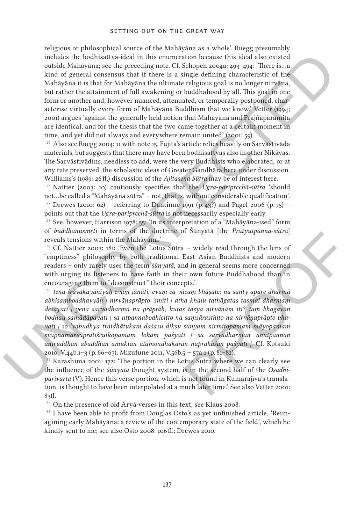includes the both<br>bandwaristed in this emmeration because this formation between the<br>solid and solid strength and strength and strength and strength and strength and strength and strength and in<br>the Mahayina its that for religious or philosophical source of the Mahāyāna as a whole'. Ruegg presumably includes the bodhisattva-ideal in this enumeration because this ideal also existed outside Mahāyāna; see the preceding note. Cf. Schopen 2004a: 493–494: 'There is…a kind of general consensus that if there is a single defining characteristic of the Mahāyāna it is that for Mahāyāna the ultimate religious goal is no longer nirvāṇa, but rather the attainment of full awakening or buddhahood by all. This goal in one form or another and, however nuanced, attenuated, or temporally postponed, characterise virtually every form of Mahāyāna Buddhism that we know.' Vetter (1994; 2001) argues 'against the generally held notion that Mahāyāna and Prajñāpāramitā are identical, and for the thesis that the two came together at a certain moment in time, and yet did not always and everywhere remain united' (2001: 59).

<sup>25</sup> Also see Ruegg 2004: 11 with note 15. Fujita's article relies heavily on Sarvāstivāda materials, but suggests that there may have been bodhisattvas also in other Nikāyas. The Sarvāstivādins, needless to add, were the very Buddhists who elaborated, or at any rate preserved, the scholastic ideas of Greater Gandhāra here under discussion. Williams's (1989: 26 ff.) discussion of the *Ajitasena Sūtra* may be of interest here.

<sup>26</sup> Nattier (2003: 10) cautiously specifies that the *Ugra-paripṛcchā-sūtra* 'should not…be called a "Mahāyāna sūtra" – not, that is, without considerable qualification'. <sup>27</sup> Drewes (2010: 62) – referring to Dantinne 1991 (p. 43<sup>2</sup>) and Pagel 2006 (p. 75) – points out that the *Ugra-paripṛcchā-sūtra* is not necessarily especially early.

<sup>28</sup> See, however, Harrison 1978: 55: 'In its interpretation of a "Mahāyāna-ised" form of *buddhānusmṛti* in terms of the doctrine of Śūnyatā [the *Pratyutpanna-sūtra*] reveals tensions within the Mahāyāna.'

 $29$  Cf. Nattier 2003: 181: 'Even the Lotus Sūtra – widely read through the lens of "emptiness" philosophy by both traditional East Asian Buddhists and modern readers – only rarely uses the term *śūnyatā*, and in general seems more concerned with urging its listeners to have faith in their own future Buddhahood than in encouraging them to "deconstruct" their concepts.'

or Sunyata [the *Pratyutpanna-sutra*]<br>
1 – widely read through the lens of<br>
East Asian Buddhists and modern<br>
or more concerned<br>
ir own future Buddhahood than in<br>
repts.<br>
Sicam bhāṣate: na santy apare dharmā<br>
na khalu tathā <sup>30</sup> *tena śrāvakayānīyaḥ evaṃ jānāti*, *evaṃ ca vācaṃ bhāṣate*: *na santy apare dharmā abhisaṃboddhavyāḥ | nirvāṇaprāpto 'smīti | atha khalu tathāgatas tasmai dharmaṃ deśayati | yena sarvadharmā na prāptāḥ*, *kutas tasya nirvāṇam iti*? *taṃ bhagavān bodhau samādāpayati | sa utpannabodhicitto na saṃsārasthito na nirvāṇaprāpto bhavati | so 'vabudhya traidhātukaṃ daśasu dikṣu sūnyaṃ nirmitopamaṃ māyopamaṃ svapnamarīcipratiśrutkopamaṃ lokaṃ paśyati | sa sarvadharmān anutpannān aniruddhān abaddhān amuktān atamondhakārān naprakāśān paśyati |*. Cf. Kotsuki 2010, V.44b.1–3 (p. 66–67); Mizufune 2011, V.56b.5 – 57a.1 (p. 81–82).

<sup>31</sup> Karashima 2001: 172: 'The portion in the Lotus Sutra where we can clearly see the influence of the *śūnyatā* thought system, is in the second half of the *Oṣadhīparivarta* (V). Hence this verse portion, which is not found in Kumārajīva's translation, is thought to have been interpolated at a much later time.' See also Vetter 2001: 83ff.

 $^{32}$  On the presence of old  $\bar{\text{A}}$ ryā-verses in this text, see Klaus 2008.

<sup>33</sup> I have been able to profit from Douglas Osto's as yet unfinished article, 'Reimagining early Mahāyāna: a review of the contemporary state of the field', which he kindly sent to me; see also Osto 2008: 106 ff.; Drewes 2010.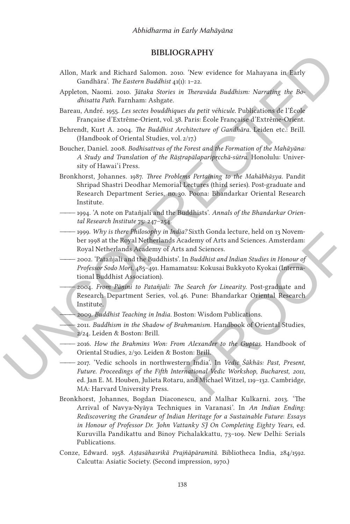## **Bibliography**

- Allon, Mark and Richard Salomon. 2010. 'New evidence for Mahayana in Early Gandhāra'. *The Eastern Buddhist* 41(1): 1–22.
- Appleton, Naomi. 2010. *Jātaka Stories in Theravāda Buddhism: Narrating the Bodhisatta Path*. Farnham: Ashgate.
- Bareau, André. 1955. *Les sectes bouddhiques du petit véhicule*. Publications de l'École Française d'Extrême-Orient, vol. 38. Paris: École Française d'Extrême-Orient.
- Behrendt, Kurt A. 2004. *The Buddhist Architecture of Gandhāra*. Leiden etc.: Brill. (Handbook of Oriental Studies, vol. 2/17.)
- Boucher, Daniel. 2008. *Bodhisattvas of the Forest and the Formation of the Mahāyāna: A Study and Translation of the Rāṣṭrapālaparipṛcchā-sūtra*. Honolulu: University of Hawai'i Press.
- **EXERCT: BIBLIOGRAPHY**<br>
And Richard Simon 2002. New evidence for Mahayana in Early<br>
Gandhara: The Eastern Buddhist  $q(t)$ ,  $t\rightarrow 2$ ,<br>
Appletion, Name, 2002. Richard Simon 2002. New evidence distribution Name Buddhiston N Bronkhorst, Johannes. 1987. *Three Problems Pertaining to the Mahābhāṣya*. Pandit Shripad Shastri Deodhar Memorial Lectures (third series). Post-graduate and Research Department Series, no. 30. Poona: Bhandarkar Oriental Research Institute.
	- ――― 1994. 'A note on Patañjali and the Buddhists'. *Annals of the Bhandarkar Oriental Research Institute* 75: 247–254.
	- ――― 1999. *Why is there Philosophy in India?* Sixth Gonda lecture, held on 13 November 1998 at the Royal Netherlands Academy of Arts and Sciences. Amsterdam: Royal Netherlands Academy of Arts and Sciences.
	- ――― 2002. 'Patañjali and the Buddhists'. In *Buddhist and Indian Studies in Honour of Professor Sodo Mori*, 485–491*.* Hamamatsu: Kokusai Bukkyoto Kyokai (International Buddhist Association).
		- ――― 2004. *From Pāṇini to Patañjali: The Search for Linearity*. Post-graduate and Research Department Series, vol. 46. Pune: Bhandarkar Oriental Research Institute.
		- ――― 2009. *Buddhist Teaching in India*. Boston: Wisdom Publications.
		- ――― 2011. *Buddhism in the Shadow of Brahmanism*. Handbook of Oriental Studies, 2/24. Leiden & Boston: Brill.
		- ――― 2016. *How the Brahmins Won: From Alexander to the Guptas*. Handbook of Oriental Studies, 2/30. Leiden & Boston: Brill.
	- 17 Sixth Gonda lecture, held on 13 Novem-<br>
	sand Sciences. Amsterdam:<br>
	sand Sciences.<br>
	In *Buddhist and Indian Studies in Honour of*<br>
	natsu: Kokusai Bukkyoto Kyokai (Interna-<br> *search for Linearity.* Post-graduate and<br>
	6. P ――― 2017. 'Vedic schools in northwestern India'. In *Vedic Śākhās: Past*, *Present*, *Future*. *Proceedings of the Fifth International Vedic Workshop*, *Bucharest*, *2011*, ed. Jan E. M. Houben, Julieta Rotaru, and Michael Witzel, 119–132. Cambridge, MA: Harvard University Press.
	- Bronkhorst, Johannes, Bogdan Diaconescu, and Malhar Kulkarni. 2013. 'The Arrival of Navya-Nyāya Techniques in Varanasi'. In *An Indian Ending*: *Rediscovering the Grandeur of Indian Heritage for a Sustainable Future*: *Essays in Honour of Professor Dr*. *John Vattanky SJ On Completing Eighty Years*, ed. Kuruvilla Pandikattu and Binoy Pichalakkattu, 73–109. New Delhi: Serials Publications.
	- Conze, Edward. 1958. *Aṣṭasāhasrikā Prajñāpāramitā*. Bibliotheca India, 284/1592. Calcutta: Asiatic Society. (Second impression, 1970.)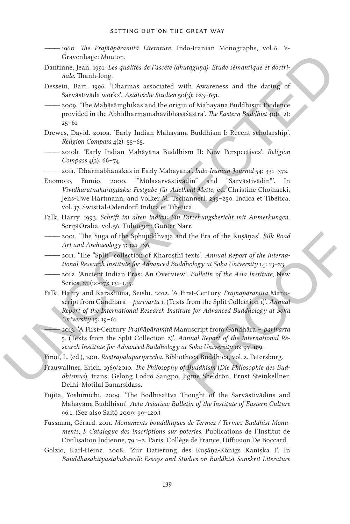- ――― 1960. *The Prajñāpāramitā Literature*. Indo-Iranian Monographs, vol. 6. 's-Gravenhage: Mouton.
- Dantinne, Jean. 1991. *Les qualités de l'ascète (dhutaguṇa): Etude sémantique et doctrinale*. Thanh-long.
- Dessein, Bart. 1996. 'Dharmas associated with Awareness and the dating of Sarvāstivāda works'. *Asiatische Studien* 50(3): 623–651.
- ――― 2009. 'The Mahāsāṃghikas and the origin of Mahayana Buddhism: Evidence provided in the Abhidharmamahāvibhāṣāśāstra'. *The Eastern Buddhist* 40(1–2):  $25 - 61$ .
- Drewes, David. 2010a. 'Early Indian Mahāyāna Buddhism I: Recent scholarship'. *Religion Compass* 4(2): 55–65.
- ――― 2010b. 'Early Indian Mahāyāna Buddhism II: New Perspectives'. *Religion Compass* 4(2): 66–74.
- ――― 2011. 'Dharmabhāṇakas in Early Mahāyāna'. *Indo-Iranian Journal* 54: 331–372.
- Enomoto, Fumio. 2000. '"Mūlasarvāstivādin" and "Sarvāstivādin"'. In *Vividharatnakaraṇḍaka: Festgabe für Adelheid Mette*, ed. Christine Chojnacki, Jens-Uwe Hartmann, and Volker M. Tschannerl, 239–250. Indica et Tibetica, vol. 37. Swisttal-Odendorf: Indica et Tibetica.
- Falk, Harry. 1993. *Schrift im alten Indien: Ein Forschungsbericht mit Anmerkungen*. ScriptOralia, vol. 56. Tübingen: Gunter Narr.
- ――― 2001. 'The Yuga of the Sphujiddhvaja and the Era of the Kuṣāṇas'. *Silk Road Art and Archaeology* 7: 121–136.
- ――― 2011. 'The "Split" collection of Kharoṣṭhī texts'. *Annual Report of the International Research Institute for Advanced Buddhology at Soka University* 14: 13–23.
- ――― 2012. 'Ancient Indian Eras: An Overview'. *Bulletin of the Asia Institute*, New Series, 21 (2007): 131-145.
- Georgians barulan parallel de l'assette (diutagrans). Etude némantique et deciri-<br>Daminac, Joan, 1991. Les qualités de l'assette (diutagrans). Etude némantique et deciri-<br>Dessain, Bart, 1996. This music associated with Aw d the Era of the Kuṣāṇas'. Silk Road<br>
texts'. Annual Report of the Interna-<br>
dhology at Soka University 14: 13–23.<br>
v'. Bulletin of the Asia Institute, New<br>
First-Century Prajñāpāramitā Manu-<br>
s from the Split Collection 1 Falk, Harry and Karashima, Seishi. 2012. 'A First-Century *Prajñāpāramitā* Manuscript from Gandhāra – *parivarta* 1. (Texts from the Split Collection 1)'. *Annual Report of the International Research Institute for Advanced Buddhology at Soka University* 15: 19–61.
	- ――― 2013. 'A First-Century *Prajñāpāramitā* Manuscript from Gandhāra *parivarta* 5. (Texts from the Split Collection 2)'. *Annual Report of the International Research Institute for Advanced Buddhology at Soka University* 16: 97–169.
	- Finot, L. (ed.), 1901. *Rāṣṭrapālaparipṛcchā*. Bibliotheca Buddhica, vol. 2. Petersburg.
	- Frauwallner, Erich. 1969/2010. *The Philosophy of Buddhism* (*Die Philosophie des Buddhismus*), trans. Gelong Lodrö Sangpo, Jigme Sheldrön, Ernst Steinkellner. Delhi: Motilal Banarsidass.
	- Fujita, Yoshimichi. 2009. 'The Bodhisattva Thought of the Sarvāstivādins and Mahāyāna Buddhism'. *Acta Asiatica: Bulletin of the Institute of Eastern Culture* 96.1. (See also Saitō 2009: 99–120.)
	- Fussman, Gérard. 2011. *Monuments bouddhiques de Termez / Termez Buddhist Monuments, I: Catalogue des inscriptions sur poteries*. Publications de l'Institut de Civilisation Indienne, 79.1–2. Paris: Collège de France; Diffusion De Boccard.
	- Golzio, Karl-Heinz. 2008. 'Zur Datierung des Kuṣāṇa-Königs Kaniṣka I'. In *Bauddhasāhityastabakāvalī: Essays and Studies on Buddhist Sanskrit Literature*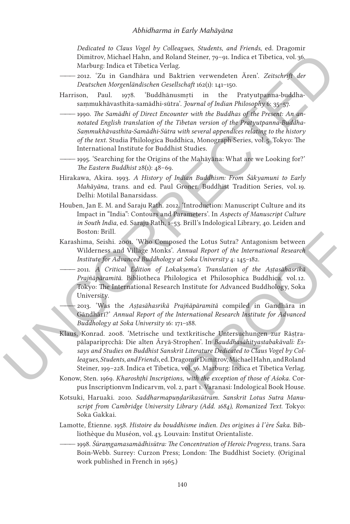*Dedicated to Claus Vogel by Colleagues*, *Students*, *and Friends*, ed. Dragomir Dimitrov, Michael Hahn, and Roland Steiner, 79–91. Indica et Tibetica, vol. 36. Marburg: Indica et Tibetica Verlag.

- ――― 2012. 'Zu in Gandhāra und Baktrien verwendeten Ären'. *Zeitschrift der Deutschen Morgenländischen Gesellschaft* 162(1): 141–150.
- Harrison, Paul. 1978. 'Buddhānusmṛti in the Pratyutpanna-buddhasaṃmukhāvasthita-samādhi-sūtra'. *Journal of Indian Philosophy* 6: 35–57.
- Dimiruo, Wichael Halbu, and Rohand Sistiner, ya-sa, Indica et Theisica, vol. 36<br>Marhamg-Indica et Theisica Verlag,  $\label{eq:2.1}$  Marhamg-Indica et Theisica Verlag, and Sistems, 22<br>their derivative and Backrick and Backrick -1990. The Samādhi of Direct Encounter with the Buddhas of the Present: An an*notated English translation of the Tibetan version of the Pratyutpanna-Buddha-Saṃmukhāvasthita-Samādhi-Sūtra with several appendices relating to the history of the text*. Studia Philologica Buddhica, Monograph Series, vol. 5. Tokyo: The International Institute for Buddhist Studies.
	- 1995. 'Searching for the Origins of the Mahāyāna: What are we Looking for?' *The Eastern Buddhist* 28(1): 48–69.
	- Hirakawa, Akira. 1993. *A History of Indian Buddhism: From Śākyamuni to Early Mahāyāna*, trans. and ed. Paul Groner. Buddhist Tradition Series, vol. 19. Delhi: Motilal Banarsidass.
	- Houben, Jan E. M. and Saraju Rath. 2012. 'Introduction: Manuscript Culture and its Impact in "India": Contours and Parameters'. In *Aspects of Manuscript Culture in South India*, ed. Saraju Rath, 1–53. Brill's Indological Library, 40. Leiden and Boston: Brill.
	- Karashima, Seishi. 2001. 'Who Composed the Lotus Sutra? Antagonism between Wilderness and Village Monks'. *Annual Report of the International Research Institute for Advanced Buddhology at Soka University* 4: 145–182.
		- ――― 2011. *A Critical Edition of Lokakṣema's Translation of the Aṣṭasāhasrikā Prajñāpāramitā*. Bibliotheca Philologica et Philosophica Buddhica, vol. 12. Tokyo: The International Research Institute for Advanced Buddhology, Soka University.

――― 2013. 'Was the *Aṣṭasāhasrikā Prajñāpāramitā* compiled in Gandhāra in Gāndhārī?' *Annual Report of the International Research Institute for Advanced Buddhology at Soka University* 16: 171–188.

- d the Lotus Sutra? Antagonism between<br>
nnual Report of the International Research<br>
Soka University 4: 145–182.<br>
sema's Translation of the Astasahasrika<br>
ogica et Philosophica Buddhica, vol.12.<br>
Institute for Advanced Buddh Klaus, Konrad. 2008. 'Metrische und textkritische Untersuchungen zur Rāstrapālaparipṛcchā: Die alten Āryā-Strophen'. In *Bauddhasāhityastabakāvalī: Essays and Studies on Buddhist Sanskrit Literature Dedicated to Claus Vogel by Colleagues*, *Students*, *and Friends*, ed. Dragomir Dimitrov, Michael Hahn, and Roland Steiner, 199–228. Indica et Tibetica, vol. 36. Marburg: Indica et Tibetica Verlag.
- Konow, Sten. 1969. *Kharoshṭhī Inscriptions*, *with the exception of those of Aśoka*. Corpus Inscriptionvm Indicarvm, vol. 2, part 1. Varanasi: Indological Book House.
- Kotsuki, Haruaki. 2010. *Saddharmapuṇḍarīkasūtram*. *Sanskrit Lotus Sutra Manuscript from Cambridge University Library (Add. 1684), Romanized Text*. Tokyo: Soka Gakkai.
- Lamotte, Étienne. 1958. *Histoire du bouddhisme indien*. *Des origines à l'ère Śaka*. Bibliothèque du Muséon, vol. 43. Louvain: Institut Orientaliste.
- ――― 1998. *Śūraṃgamasamādhisūtra: The Concentration of Heroic Progress*, trans. Sara Boin-Webb. Surrey: Curzon Press; London: The Buddhist Society. (Original work published in French in 1965.)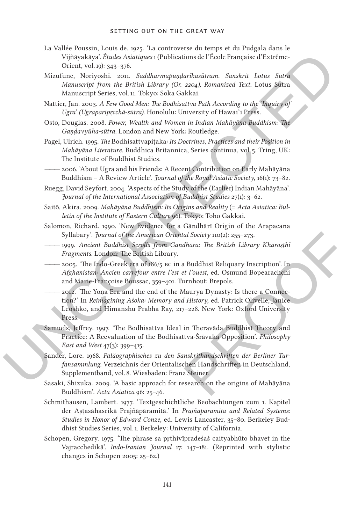- La Vallée Poussin, Louis de. 1925. 'La controverse du temps et du Pudgala dans le Vijñāyakāya'. *Études Asiatiques* 1 (Publications de l'École Française d'Extrême-Orient, vol. 19): 343–376.
- Mizufune, Noriyoshi. 2011. *Saddharmapuṇḍarīkasūtram*. *Sanskrit Lotus Sutra Manuscript from the British Library (Or. 2204), Romanized Text*. Lotus Sutra Manuscript Series, vol. 11. Tokyo: Soka Gakkai.
- Nattier, Jan. 2003. *A Few Good Men: The Bodhisattva Path According to the 'Inquiry of Ugra' (Ugraparipṛcchā-sūtra)*. Honolulu: University of Hawai'i Press.
- Osto, Douglas. 2008. *Power, Wealth and Women in Indian Mahāyāna Buddhism: The Gaṇḍavyūha-sūtra*. London and New York: Routledge.
- Pagel, Ulrich. 1995. *The* Bodhisattvapiṭaka*: Its Doctrines*, *Practices and their Position in Mahāyāna Literature*. Buddhica Britannica, Series continua, vol. 5. Tring, UK: The Institute of Buddhist Studies.
- 2006. 'About Ugra and his Friends: A Recent Contribution on Early Mahāyāna Buddhism – A Review Article'. *Journal of the Royal Asiatic Society*, 16(1): 73–82.
- Ruegg, David Seyfort. 2004. 'Aspects of the Study of the (Earlier) Indian Mahāyāna'. *Journal of the International Association of Buddhist Studies* 27(1): 3–62.
- Saitō, Akira. 2009. *Mahāyāna Buddhism: Its Origins and Reality* (= *Acta Asiatica: Bulletin of the Institute of Eastern Culture* 96). Tokyo: Toho Gakkai.
- Salomon, Richard. 1990. 'New Evidence for a Gāndhārī Origin of the Arapacana Syllabary'. *Journal of the American Oriental Society* 110(2): 255–273.
- ――― 1999. *Ancient Buddhist Scrolls from Gandhāra: The British Library Kharoṣṭhī Fragments*. London: The British Library.
- 2005. 'The Indo-Greek era of 186/5 BC in a Buddhist Reliquary Inscription'. In *Afghanistan: Ancien carrefour entre l'est et l'ouest*, ed. Osmund Bopearachchi and Marie-Françoise Boussac, 359–401. Turnhout: Brepols.
- Virginyhäysiä Andele skialingus (Cublications de l'Ecole Française d'Estrémentius (Cublications de l'Ecole Française d'Estrémentius (Mortangen) (Mortangen) (Mortangen) (Mortangen) (Mortangen) (Mortangen) (Mortangen) (Mort *tal Society* 110(2): 255–273.<br> *dhāra: The British Library Kharoșthī*<br>
2 Buddhist Reliquary Inscription'. In<br>
2 Furest, ed. Osmund Bopearachchi<br>
1 Furest, ed. Osmund Bopearachchi<br>
1 Furest, ed. Patrick Olivelle, Janice<br>
7 - 2012. 'The Yona Era and the end of the Maurya Dynasty: Is there a Connection?' In *Reimagining Aśoka: Memory and History*, ed. Patrick Olivelle, Janice Leoshko, and Himanshu Prabha Ray, 217–228. New York: Oxford University Press.
	- Samuels, Jeffrey. 1997. 'The Bodhisattva Ideal in Theravāda Buddhist Theory and Practice: A Reevaluation of the Bodhisattva-Śrāvaka Opposition'. *Philosophy East and West* 47(3): 399–415.
	- Sander, Lore. 1968. *Paläographisches zu den Sanskrithandschriften der Berliner Turfansammlung*. Verzeichnis der Orientalischen Handschriften in Deutschland, Supplementband, vol. 8. Wiesbaden: Franz Steiner.
	- Sasaki, Shizuka. 2009. 'A basic approach for research on the origins of Mahāyāna Buddhism'. *Acta Asiatica* 96: 25–46.
	- Schmithausen, Lambert. 1977. 'Textgeschichtliche Beobachtungen zum 1. Kapitel der Aṣṭasāhasrikā Prajñāpāramitā.' In *Prajñāpāramitā and Related Systems: Studies in Honor of Edward Conze*, ed. Lewis Lancaster, 35–80. Berkeley Buddhist Studies Series, vol. 1. Berkeley: University of California.
	- Schopen, Gregory. 1975. 'The phrase sa pṛthivīpradeśaś caityabhūto bhavet in the Vajracchedikā'. *Indo-Iranian Journal* 17: 147–181. (Reprinted with stylistic changes in Schopen 2005: 25–62.)